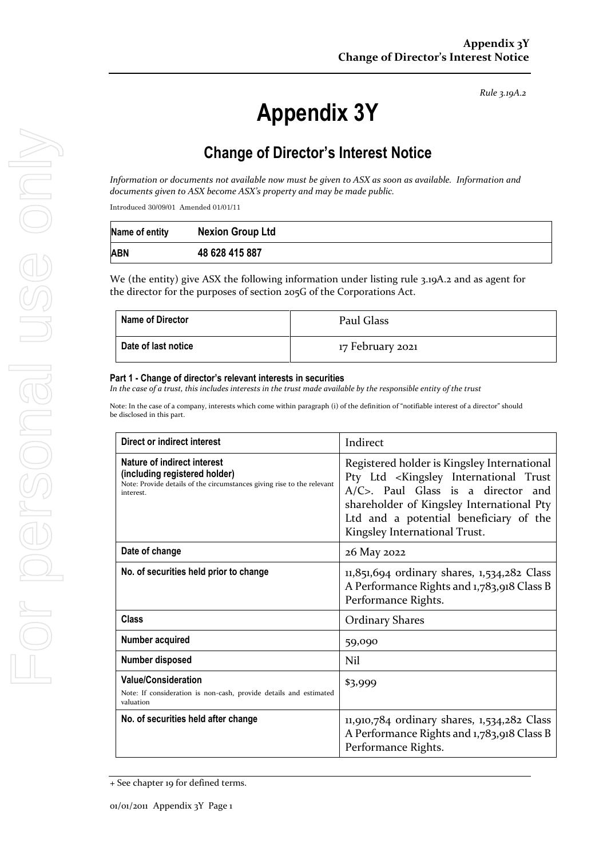*Rule 3.19A.2*

# **Appendix 3Y**

# **Change of Director's Interest Notice**

*Information or documents not available now must be given to ASX as soon as available. Information and documents given to ASX become ASX's property and may be made public.*

Introduced 30/09/01 Amended 01/01/11

| Name of entity | <b>Nexion Group Ltd</b> |
|----------------|-------------------------|
| <b>ABN</b>     | 48 628 415 887          |

We (the entity) give ASX the following information under listing rule 3.19A.2 and as agent for the director for the purposes of section 205G of the Corporations Act.

| <b>Name of Director</b> | Paul Glass       |
|-------------------------|------------------|
| Date of last notice     | 17 February 2021 |

#### **Part 1 - Change of director's relevant interests in securities**

*In the case of a trust, this includes interests in the trust made available by the responsible entity of the trust*

Note: In the case of a company, interests which come within paragraph (i) of the definition of "notifiable interest of a director" should be disclosed in this part.

| Direct or indirect interest                                                                                                                         | Indirect                                                                                                                                                                                                                                                                  |  |
|-----------------------------------------------------------------------------------------------------------------------------------------------------|---------------------------------------------------------------------------------------------------------------------------------------------------------------------------------------------------------------------------------------------------------------------------|--|
| Nature of indirect interest<br>(including registered holder)<br>Note: Provide details of the circumstances giving rise to the relevant<br>interest. | Registered holder is Kingsley International<br>Pty Ltd <kingsley international="" trust<br="">A/C&gt;. Paul Glass is a director and<br/>shareholder of Kingsley International Pty<br/>Ltd and a potential beneficiary of the<br/>Kingsley International Trust.</kingsley> |  |
| Date of change                                                                                                                                      | 26 May 2022                                                                                                                                                                                                                                                               |  |
| No. of securities held prior to change                                                                                                              | 11,851,694 ordinary shares, 1,534,282 Class<br>A Performance Rights and 1,783,918 Class B<br>Performance Rights.                                                                                                                                                          |  |
| Class                                                                                                                                               | <b>Ordinary Shares</b>                                                                                                                                                                                                                                                    |  |
| Number acquired                                                                                                                                     | 59,090                                                                                                                                                                                                                                                                    |  |
| Number disposed                                                                                                                                     | Nil                                                                                                                                                                                                                                                                       |  |
| <b>Value/Consideration</b><br>Note: If consideration is non-cash, provide details and estimated<br>valuation                                        | \$3,999                                                                                                                                                                                                                                                                   |  |
| No. of securities held after change                                                                                                                 | 11,910,784 ordinary shares, 1,534,282 Class<br>A Performance Rights and 1,783,918 Class B<br>Performance Rights.                                                                                                                                                          |  |

<sup>+</sup> See chapter 19 for defined terms.